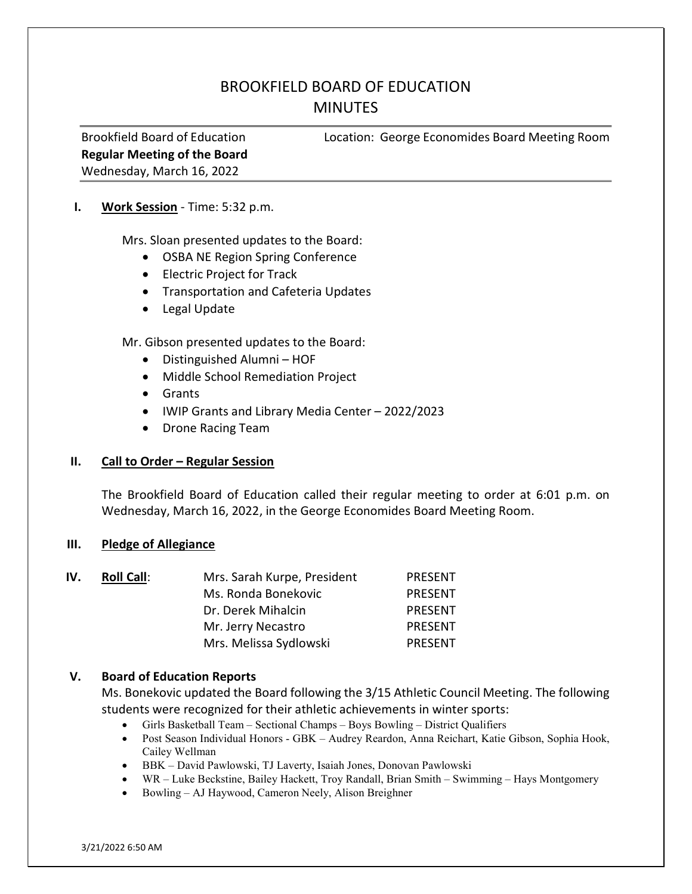# BROOKFIELD BOARD OF EDUCATION **MINUTES**

Regular Meeting of the Board Wednesday, March 16, 2022

Brookfield Board of Education Location: George Economides Board Meeting Room

#### I. Work Session - Time: 5:32 p.m.

Mrs. Sloan presented updates to the Board:

- OSBA NE Region Spring Conference
- Electric Project for Track
- **•** Transportation and Cafeteria Updates
- Legal Update

Mr. Gibson presented updates to the Board:

- Distinguished Alumni HOF
- Middle School Remediation Project
- Grants
- IWIP Grants and Library Media Center 2022/2023
- Drone Racing Team

# II. Call to Order – Regular Session

The Brookfield Board of Education called their regular meeting to order at 6:01 p.m. on Wednesday, March 16, 2022, in the George Economides Board Meeting Room.

#### III. Pledge of Allegiance

| IV. | <b>Roll Call:</b> | Mrs. Sarah Kurpe, President | <b>PRESENT</b> |
|-----|-------------------|-----------------------------|----------------|
|     |                   | Ms. Ronda Bonekovic         | <b>PRESENT</b> |
|     |                   | Dr. Derek Mihalcin          | <b>PRESENT</b> |
|     |                   | Mr. Jerry Necastro          | <b>PRESENT</b> |
|     |                   | Mrs. Melissa Sydlowski      | <b>PRESENT</b> |

# V. Board of Education Reports

Ms. Bonekovic updated the Board following the 3/15 Athletic Council Meeting. The following students were recognized for their athletic achievements in winter sports:

- Girls Basketball Team Sectional Champs Boys Bowling District Qualifiers
- Post Season Individual Honors GBK Audrey Reardon, Anna Reichart, Katie Gibson, Sophia Hook, Cailey Wellman
- BBK David Pawlowski, TJ Laverty, Isaiah Jones, Donovan Pawlowski
- WR Luke Beckstine, Bailey Hackett, Troy Randall, Brian Smith Swimming Hays Montgomery
- Bowling AJ Haywood, Cameron Neely, Alison Breighner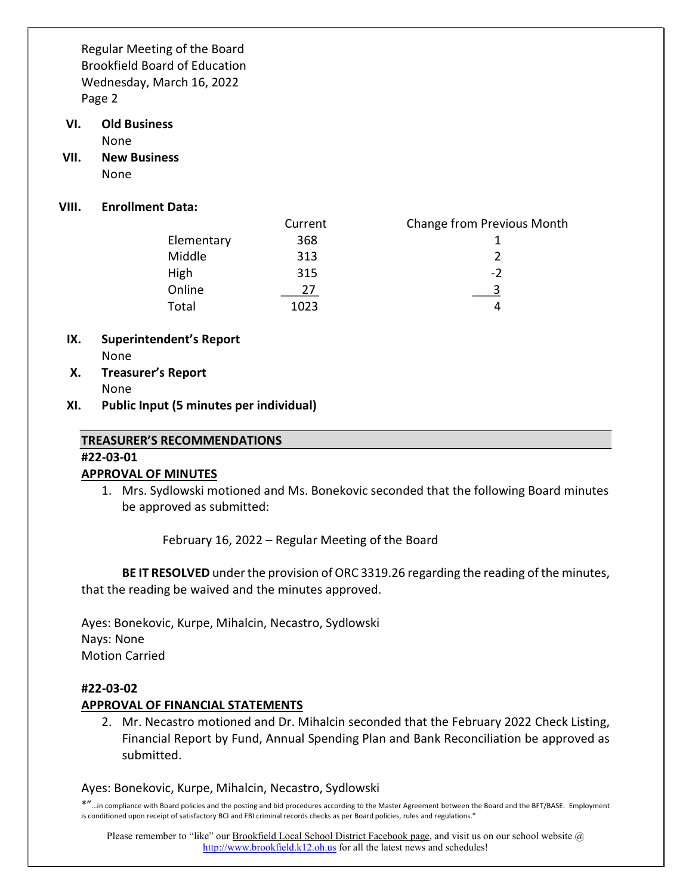- VI. Old Business None
- VII. New Business None
- VIII. Enrollment Data:

|            | Current | <b>Change from Previous Month</b> |
|------------|---------|-----------------------------------|
| Elementary | 368     |                                   |
| Middle     | 313     |                                   |
| High       | 315     | $-2$                              |
| Online     | 77      |                                   |
| Total      | 1023    |                                   |

- IX. Superintendent's Report None
- X. Treasurer's Report None
- XI. Public Input (5 minutes per individual)

#### TREASURER'S RECOMMENDATIONS

#### #22-03-01

# APPROVAL OF MINUTES

1. Mrs. Sydlowski motioned and Ms. Bonekovic seconded that the following Board minutes be approved as submitted:

February 16, 2022 – Regular Meeting of the Board

BE IT RESOLVED under the provision of ORC 3319.26 regarding the reading of the minutes, that the reading be waived and the minutes approved.

Ayes: Bonekovic, Kurpe, Mihalcin, Necastro, Sydlowski Nays: None Motion Carried

# #22-03-02

# APPROVAL OF FINANCIAL STATEMENTS

2. Mr. Necastro motioned and Dr. Mihalcin seconded that the February 2022 Check Listing, Financial Report by Fund, Annual Spending Plan and Bank Reconciliation be approved as submitted.

#### Ayes: Bonekovic, Kurpe, Mihalcin, Necastro, Sydlowski

\*"…in compliance with Board policies and the posting and bid procedures according to the Master Agreement between the Board and the BFT/BASE. Employment is conditioned upon receipt of satisfactory BCI and FBI criminal records checks as per Board policies, rules and regulations."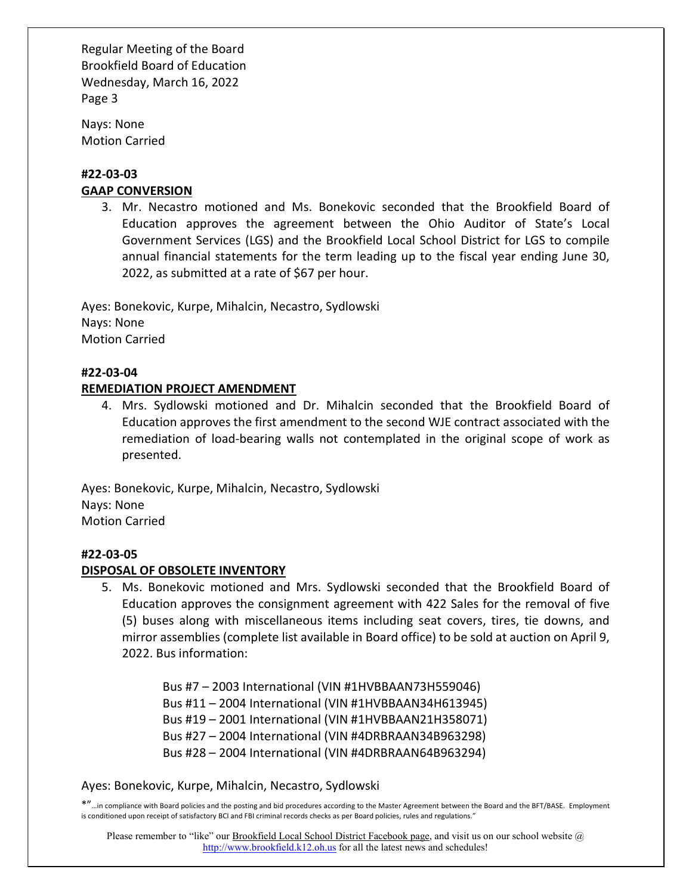Nays: None Motion Carried

# #22-03-03 GAAP CONVERSION

3. Mr. Necastro motioned and Ms. Bonekovic seconded that the Brookfield Board of Education approves the agreement between the Ohio Auditor of State's Local Government Services (LGS) and the Brookfield Local School District for LGS to compile annual financial statements for the term leading up to the fiscal year ending June 30, 2022, as submitted at a rate of \$67 per hour.

Ayes: Bonekovic, Kurpe, Mihalcin, Necastro, Sydlowski Nays: None Motion Carried

# #22-03-04

# REMEDIATION PROJECT AMENDMENT

4. Mrs. Sydlowski motioned and Dr. Mihalcin seconded that the Brookfield Board of Education approves the first amendment to the second WJE contract associated with the remediation of load-bearing walls not contemplated in the original scope of work as presented.

Ayes: Bonekovic, Kurpe, Mihalcin, Necastro, Sydlowski Nays: None Motion Carried

# #22-03-05

# DISPOSAL OF OBSOLETE INVENTORY

5. Ms. Bonekovic motioned and Mrs. Sydlowski seconded that the Brookfield Board of Education approves the consignment agreement with 422 Sales for the removal of five (5) buses along with miscellaneous items including seat covers, tires, tie downs, and mirror assemblies (complete list available in Board office) to be sold at auction on April 9, 2022. Bus information:

> Bus #7 – 2003 International (VIN #1HVBBAAN73H559046) Bus #11 – 2004 International (VIN #1HVBBAAN34H613945) Bus #19 – 2001 International (VIN #1HVBBAAN21H358071) Bus #27 – 2004 International (VIN #4DRBRAAN34B963298) Bus #28 – 2004 International (VIN #4DRBRAAN64B963294)

# Ayes: Bonekovic, Kurpe, Mihalcin, Necastro, Sydlowski

\*"…in compliance with Board policies and the posting and bid procedures according to the Master Agreement between the Board and the BFT/BASE. Employment is conditioned upon receipt of satisfactory BCI and FBI criminal records checks as per Board policies, rules and regulations."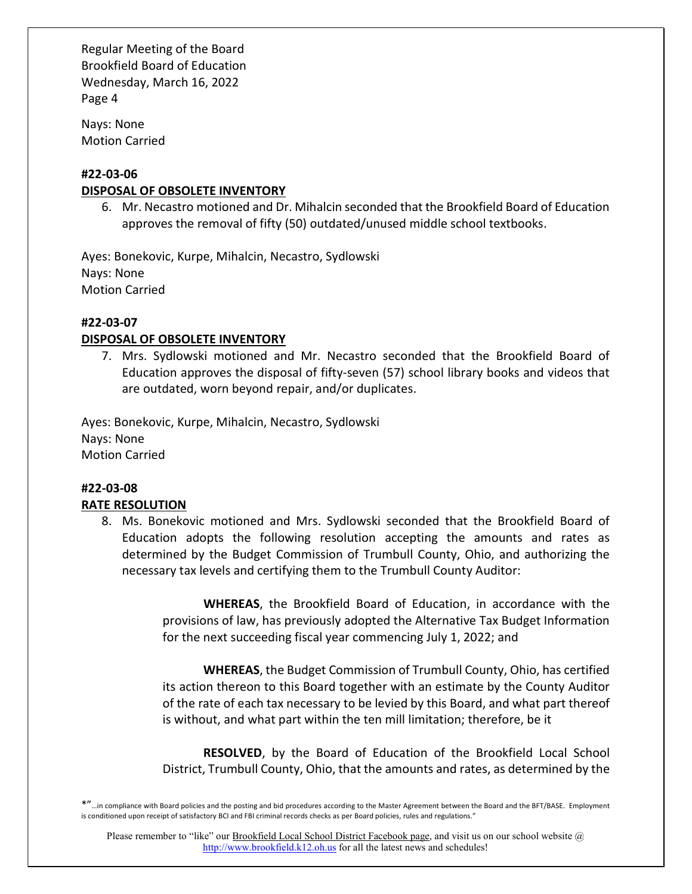Nays: None Motion Carried

# #22-03-06

# DISPOSAL OF OBSOLETE INVENTORY

6. Mr. Necastro motioned and Dr. Mihalcin seconded that the Brookfield Board of Education approves the removal of fifty (50) outdated/unused middle school textbooks.

Ayes: Bonekovic, Kurpe, Mihalcin, Necastro, Sydlowski Nays: None Motion Carried

# #22-03-07

# DISPOSAL OF OBSOLETE INVENTORY

7. Mrs. Sydlowski motioned and Mr. Necastro seconded that the Brookfield Board of Education approves the disposal of fifty-seven (57) school library books and videos that are outdated, worn beyond repair, and/or duplicates.

Ayes: Bonekovic, Kurpe, Mihalcin, Necastro, Sydlowski Nays: None Motion Carried

#### #22-03-08 RATE RESOLUTION

8. Ms. Bonekovic motioned and Mrs. Sydlowski seconded that the Brookfield Board of Education adopts the following resolution accepting the amounts and rates as determined by the Budget Commission of Trumbull County, Ohio, and authorizing the necessary tax levels and certifying them to the Trumbull County Auditor:

> WHEREAS, the Brookfield Board of Education, in accordance with the provisions of law, has previously adopted the Alternative Tax Budget Information for the next succeeding fiscal year commencing July 1, 2022; and

> WHEREAS, the Budget Commission of Trumbull County, Ohio, has certified its action thereon to this Board together with an estimate by the County Auditor of the rate of each tax necessary to be levied by this Board, and what part thereof is without, and what part within the ten mill limitation; therefore, be it

> RESOLVED, by the Board of Education of the Brookfield Local School District, Trumbull County, Ohio, that the amounts and rates, as determined by the

\*"…in compliance with Board policies and the posting and bid procedures according to the Master Agreement between the Board and the BFT/BASE. Employment is conditioned upon receipt of satisfactory BCI and FBI criminal records checks as per Board policies, rules and regulations."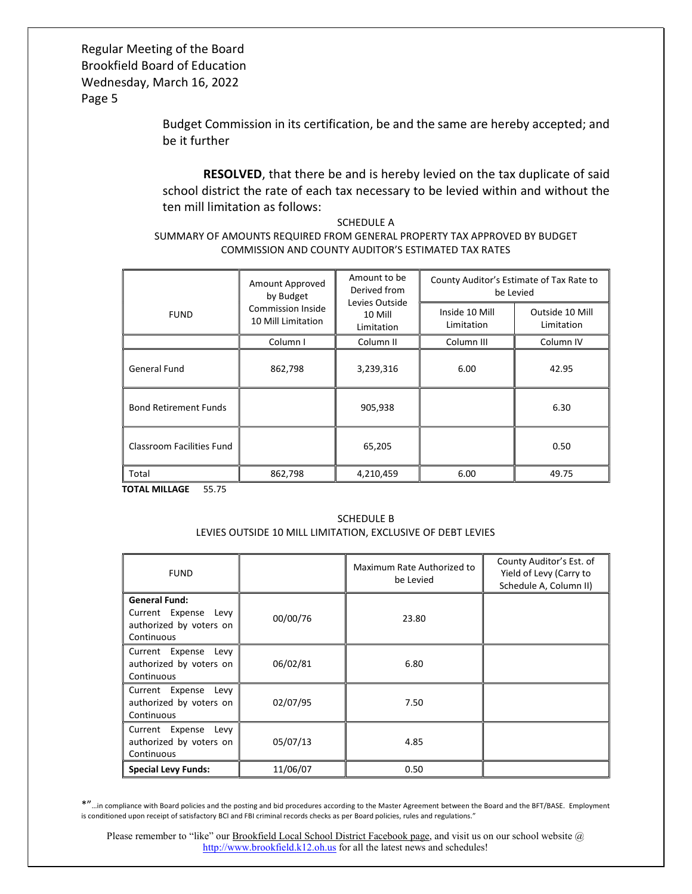> Budget Commission in its certification, be and the same are hereby accepted; and be it further

> RESOLVED, that there be and is hereby levied on the tax duplicate of said school district the rate of each tax necessary to be levied within and without the ten mill limitation as follows:

#### SCHEDULE A SUMMARY OF AMOUNTS REQUIRED FROM GENERAL PROPERTY TAX APPROVED BY BUDGET COMMISSION AND COUNTY AUDITOR'S ESTIMATED TAX RATES

|                                  | Amount Approved<br>by Budget<br>Commission Inside<br>10 Mill Limitation | Amount to be<br>Derived from<br>Levies Outside<br>10 Mill<br>Limitation | County Auditor's Estimate of Tax Rate to<br>be Levied |                               |
|----------------------------------|-------------------------------------------------------------------------|-------------------------------------------------------------------------|-------------------------------------------------------|-------------------------------|
| <b>FUND</b>                      |                                                                         |                                                                         | Inside 10 Mill<br>Limitation                          | Outside 10 Mill<br>Limitation |
|                                  | Column I                                                                | Column <sub>II</sub>                                                    | Column III                                            | Column <sub>IV</sub>          |
| <b>General Fund</b>              | 862,798                                                                 | 3,239,316                                                               | 6.00                                                  | 42.95                         |
| <b>Bond Retirement Funds</b>     |                                                                         | 905,938                                                                 |                                                       | 6.30                          |
| <b>Classroom Facilities Fund</b> |                                                                         | 65,205                                                                  |                                                       | 0.50                          |
| Total                            | 862,798                                                                 | 4,210,459                                                               | 6.00                                                  | 49.75                         |

TOTAL MILLAGE 55.75

#### SCHEDULE B LEVIES OUTSIDE 10 MILL LIMITATION, EXCLUSIVE OF DEBT LEVIES

| <b>FUND</b>                                                                           |          | Maximum Rate Authorized to<br>be Levied | County Auditor's Est. of<br>Yield of Levy (Carry to<br>Schedule A, Column II) |
|---------------------------------------------------------------------------------------|----------|-----------------------------------------|-------------------------------------------------------------------------------|
| <b>General Fund:</b><br>Current Expense Levy<br>authorized by voters on<br>Continuous | 00/00/76 | 23.80                                   |                                                                               |
| Current Expense Levy<br>authorized by voters on<br>Continuous                         | 06/02/81 | 6.80                                    |                                                                               |
| Current Expense Levy<br>authorized by voters on<br>Continuous                         | 02/07/95 | 7.50                                    |                                                                               |
| Current Expense Levy<br>authorized by voters on<br>Continuous                         | 05/07/13 | 4.85                                    |                                                                               |
| <b>Special Levy Funds:</b>                                                            | 11/06/07 | 0.50                                    |                                                                               |

\*"…in compliance with Board policies and the posting and bid procedures according to the Master Agreement between the Board and the BFT/BASE. Employment is conditioned upon receipt of satisfactory BCI and FBI criminal records checks as per Board policies, rules and regulations."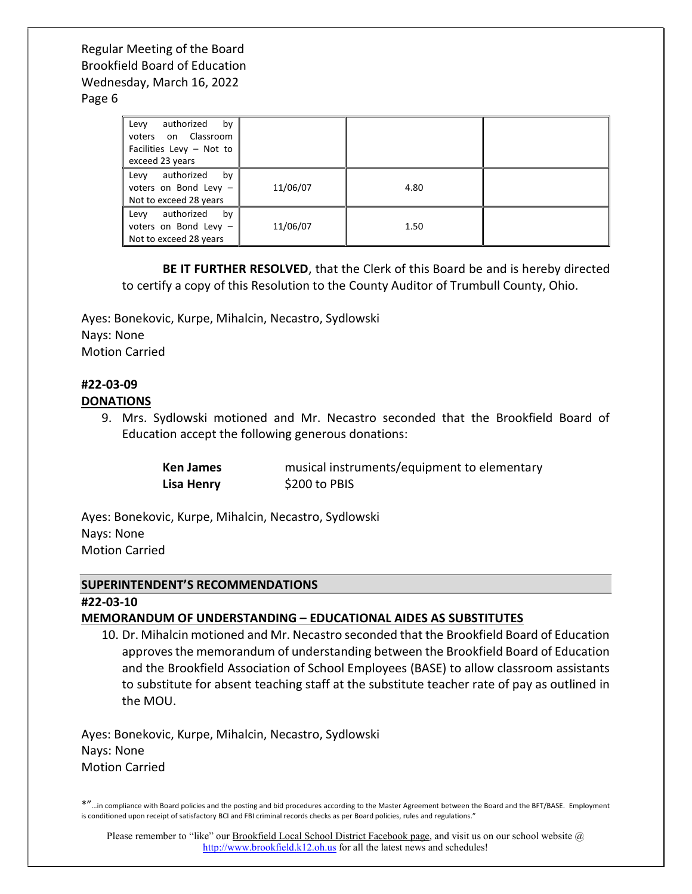#### Page 6

| authorized<br>Levy<br>by<br>voters on Classroom<br>Facilities Levy - Not to<br>exceed 23 years |          |      |  |
|------------------------------------------------------------------------------------------------|----------|------|--|
| by<br>Levy<br>authorized<br>voters on Bond Levy -<br>Not to exceed 28 years                    | 11/06/07 | 4.80 |  |
| by<br>Levy<br>authorized<br>voters on Bond Levy -<br>Not to exceed 28 years                    | 11/06/07 | 1.50 |  |

 BE IT FURTHER RESOLVED, that the Clerk of this Board be and is hereby directed to certify a copy of this Resolution to the County Auditor of Trumbull County, Ohio.

Ayes: Bonekovic, Kurpe, Mihalcin, Necastro, Sydlowski Nays: None Motion Carried

#### #22-03-09 DONATIONS

9. Mrs. Sydlowski motioned and Mr. Necastro seconded that the Brookfield Board of Education accept the following generous donations:

| <b>Ken James</b> | musical instruments/equipment to elementary |
|------------------|---------------------------------------------|
| Lisa Henry       | \$200 to PBIS                               |

Ayes: Bonekovic, Kurpe, Mihalcin, Necastro, Sydlowski Nays: None Motion Carried

#### SUPERINTENDENT'S RECOMMENDATIONS

#22-03-10

# MEMORANDUM OF UNDERSTANDING – EDUCATIONAL AIDES AS SUBSTITUTES

10. Dr. Mihalcin motioned and Mr. Necastro seconded that the Brookfield Board of Education approves the memorandum of understanding between the Brookfield Board of Education and the Brookfield Association of School Employees (BASE) to allow classroom assistants to substitute for absent teaching staff at the substitute teacher rate of pay as outlined in the MOU.

Ayes: Bonekovic, Kurpe, Mihalcin, Necastro, Sydlowski Nays: None Motion Carried

\*"…in compliance with Board policies and the posting and bid procedures according to the Master Agreement between the Board and the BFT/BASE. Employment is conditioned upon receipt of satisfactory BCI and FBI criminal records checks as per Board policies, rules and regulations."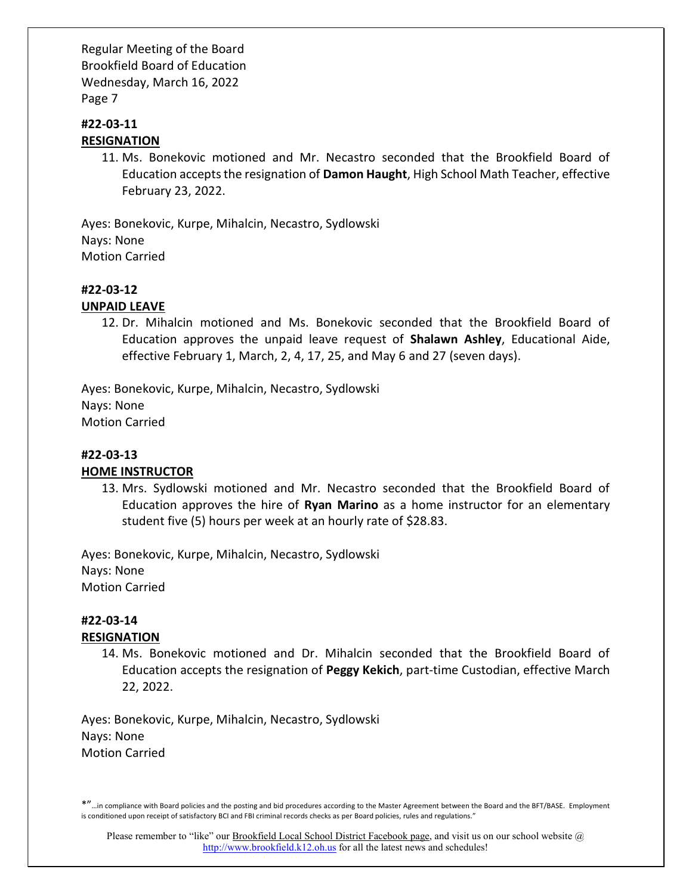#### #22-03-11 RESIGNATION

11. Ms. Bonekovic motioned and Mr. Necastro seconded that the Brookfield Board of Education accepts the resignation of Damon Haught, High School Math Teacher, effective February 23, 2022.

Ayes: Bonekovic, Kurpe, Mihalcin, Necastro, Sydlowski Nays: None Motion Carried

#### #22-03-12

#### UNPAID LEAVE

12. Dr. Mihalcin motioned and Ms. Bonekovic seconded that the Brookfield Board of Education approves the unpaid leave request of Shalawn Ashley, Educational Aide, effective February 1, March, 2, 4, 17, 25, and May 6 and 27 (seven days).

Ayes: Bonekovic, Kurpe, Mihalcin, Necastro, Sydlowski Nays: None Motion Carried

#### #22-03-13 HOME INSTRUCTOR

13. Mrs. Sydlowski motioned and Mr. Necastro seconded that the Brookfield Board of Education approves the hire of Ryan Marino as a home instructor for an elementary student five (5) hours per week at an hourly rate of \$28.83.

Ayes: Bonekovic, Kurpe, Mihalcin, Necastro, Sydlowski Nays: None Motion Carried

# #22-03-14

# RESIGNATION

14. Ms. Bonekovic motioned and Dr. Mihalcin seconded that the Brookfield Board of Education accepts the resignation of Peggy Kekich, part-time Custodian, effective March 22, 2022.

Ayes: Bonekovic, Kurpe, Mihalcin, Necastro, Sydlowski Nays: None Motion Carried

<sup>\*&</sup>quot;…in compliance with Board policies and the posting and bid procedures according to the Master Agreement between the Board and the BFT/BASE. Employment is conditioned upon receipt of satisfactory BCI and FBI criminal records checks as per Board policies, rules and regulations."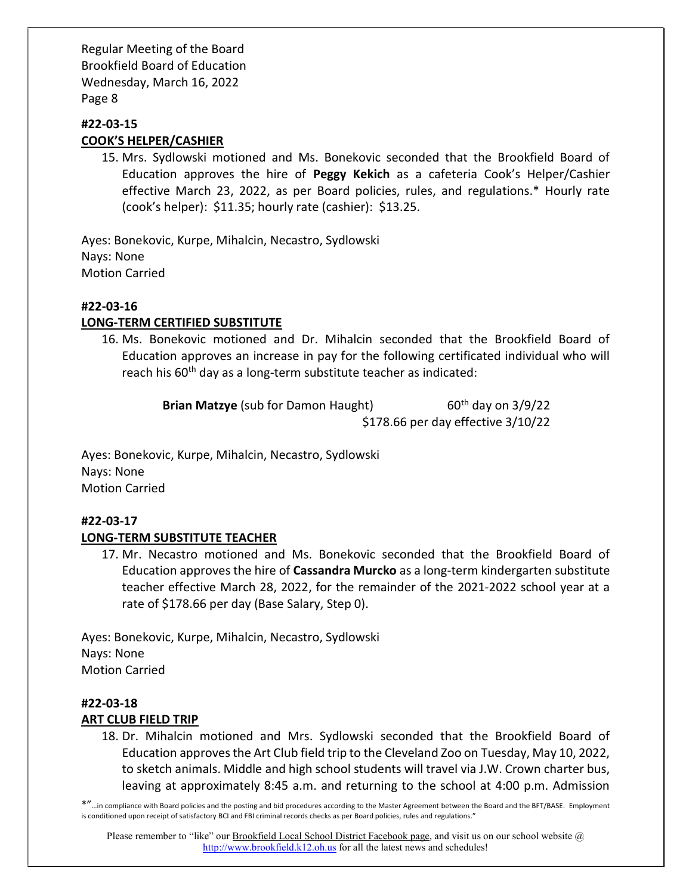#### #22-03-15 COOK'S HELPER/CASHIER

15. Mrs. Sydlowski motioned and Ms. Bonekovic seconded that the Brookfield Board of Education approves the hire of Peggy Kekich as a cafeteria Cook's Helper/Cashier effective March 23, 2022, as per Board policies, rules, and regulations.\* Hourly rate (cook's helper): \$11.35; hourly rate (cashier): \$13.25.

Ayes: Bonekovic, Kurpe, Mihalcin, Necastro, Sydlowski Nays: None Motion Carried

# #22-03-16

# LONG-TERM CERTIFIED SUBSTITUTE

16. Ms. Bonekovic motioned and Dr. Mihalcin seconded that the Brookfield Board of Education approves an increase in pay for the following certificated individual who will reach his 60<sup>th</sup> day as a long-term substitute teacher as indicated:

> **Brian Matzye** (sub for Damon Haught) 60<sup>th</sup> day on  $3/9/22$ \$178.66 per day effective 3/10/22

Ayes: Bonekovic, Kurpe, Mihalcin, Necastro, Sydlowski Nays: None Motion Carried

# #22-03-17

# LONG-TERM SUBSTITUTE TEACHER

17. Mr. Necastro motioned and Ms. Bonekovic seconded that the Brookfield Board of Education approves the hire of Cassandra Murcko as a long-term kindergarten substitute teacher effective March 28, 2022, for the remainder of the 2021-2022 school year at a rate of \$178.66 per day (Base Salary, Step 0).

Ayes: Bonekovic, Kurpe, Mihalcin, Necastro, Sydlowski Nays: None Motion Carried

# #22-03-18 ART CLUB FIELD TRIP

18. Dr. Mihalcin motioned and Mrs. Sydlowski seconded that the Brookfield Board of Education approves the Art Club field trip to the Cleveland Zoo on Tuesday, May 10, 2022, to sketch animals. Middle and high school students will travel via J.W. Crown charter bus, leaving at approximately 8:45 a.m. and returning to the school at 4:00 p.m. Admission

\*"…in compliance with Board policies and the posting and bid procedures according to the Master Agreement between the Board and the BFT/BASE. Employment is conditioned upon receipt of satisfactory BCI and FBI criminal records checks as per Board policies, rules and regulations."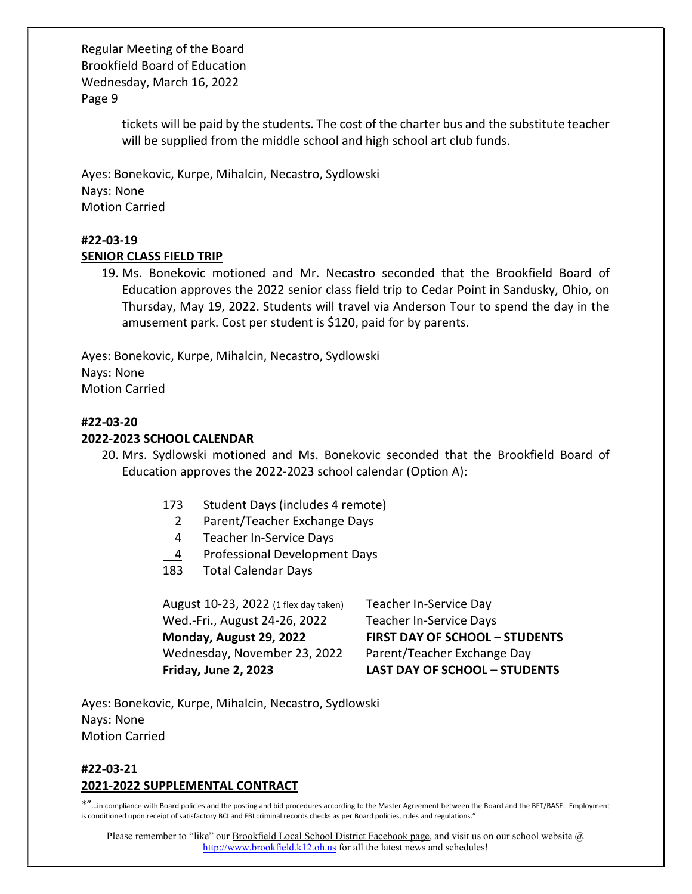> tickets will be paid by the students. The cost of the charter bus and the substitute teacher will be supplied from the middle school and high school art club funds.

Ayes: Bonekovic, Kurpe, Mihalcin, Necastro, Sydlowski Nays: None Motion Carried

# #22-03-19

# SENIOR CLASS FIELD TRIP

19. Ms. Bonekovic motioned and Mr. Necastro seconded that the Brookfield Board of Education approves the 2022 senior class field trip to Cedar Point in Sandusky, Ohio, on Thursday, May 19, 2022. Students will travel via Anderson Tour to spend the day in the amusement park. Cost per student is \$120, paid for by parents.

Ayes: Bonekovic, Kurpe, Mihalcin, Necastro, Sydlowski Nays: None Motion Carried

# #22-03-20

# 2022-2023 SCHOOL CALENDAR

- 20. Mrs. Sydlowski motioned and Ms. Bonekovic seconded that the Brookfield Board of Education approves the 2022-2023 school calendar (Option A):
	- 173 Student Days (includes 4 remote)
		- 2 Parent/Teacher Exchange Days
		- 4 Teacher In-Service Days
		- 4 Professional Development Days
	- 183 Total Calendar Days

August 10-23, 2022 (1 flex day taken) Teacher In-Service Day Wed.-Fri., August 24-26, 2022 Teacher In-Service Days Wednesday, November 23, 2022 Parent/Teacher Exchange Day

Monday, August 29, 2022 FIRST DAY OF SCHOOL – STUDENTS Friday, June 2, 2023 LAST DAY OF SCHOOL – STUDENTS

Ayes: Bonekovic, Kurpe, Mihalcin, Necastro, Sydlowski Nays: None Motion Carried

# #22-03-21 2021-2022 SUPPLEMENTAL CONTRACT

\*"…in compliance with Board policies and the posting and bid procedures according to the Master Agreement between the Board and the BFT/BASE. Employment is conditioned upon receipt of satisfactory BCI and FBI criminal records checks as per Board policies, rules and regulations."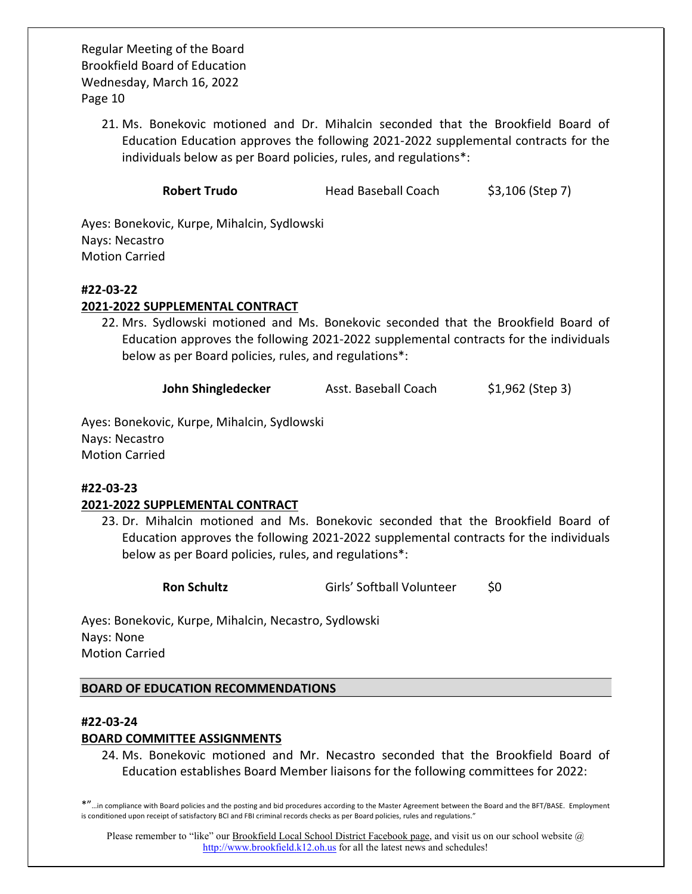> 21. Ms. Bonekovic motioned and Dr. Mihalcin seconded that the Brookfield Board of Education Education approves the following 2021-2022 supplemental contracts for the individuals below as per Board policies, rules, and regulations\*:

> > Robert Trudo **Head Baseball Coach** \$3,106 (Step 7)

Ayes: Bonekovic, Kurpe, Mihalcin, Sydlowski Nays: Necastro Motion Carried

#### #22-03-22

#### 2021-2022 SUPPLEMENTAL CONTRACT

22. Mrs. Sydlowski motioned and Ms. Bonekovic seconded that the Brookfield Board of Education approves the following 2021-2022 supplemental contracts for the individuals below as per Board policies, rules, and regulations\*:

John Shingledecker Asst. Baseball Coach \$1,962 (Step 3)

Ayes: Bonekovic, Kurpe, Mihalcin, Sydlowski Nays: Necastro Motion Carried

#### #22-03-23

#### 2021-2022 SUPPLEMENTAL CONTRACT

23. Dr. Mihalcin motioned and Ms. Bonekovic seconded that the Brookfield Board of Education approves the following 2021-2022 supplemental contracts for the individuals below as per Board policies, rules, and regulations\*:

Ron Schultz **Girls' Softball Volunteer** \$0

Ayes: Bonekovic, Kurpe, Mihalcin, Necastro, Sydlowski Nays: None Motion Carried

BOARD OF EDUCATION RECOMMENDATIONS

#### #22-03-24

#### BOARD COMMITTEE ASSIGNMENTS

24. Ms. Bonekovic motioned and Mr. Necastro seconded that the Brookfield Board of Education establishes Board Member liaisons for the following committees for 2022:

\*"…in compliance with Board policies and the posting and bid procedures according to the Master Agreement between the Board and the BFT/BASE. Employment is conditioned upon receipt of satisfactory BCI and FBI criminal records checks as per Board policies, rules and regulations."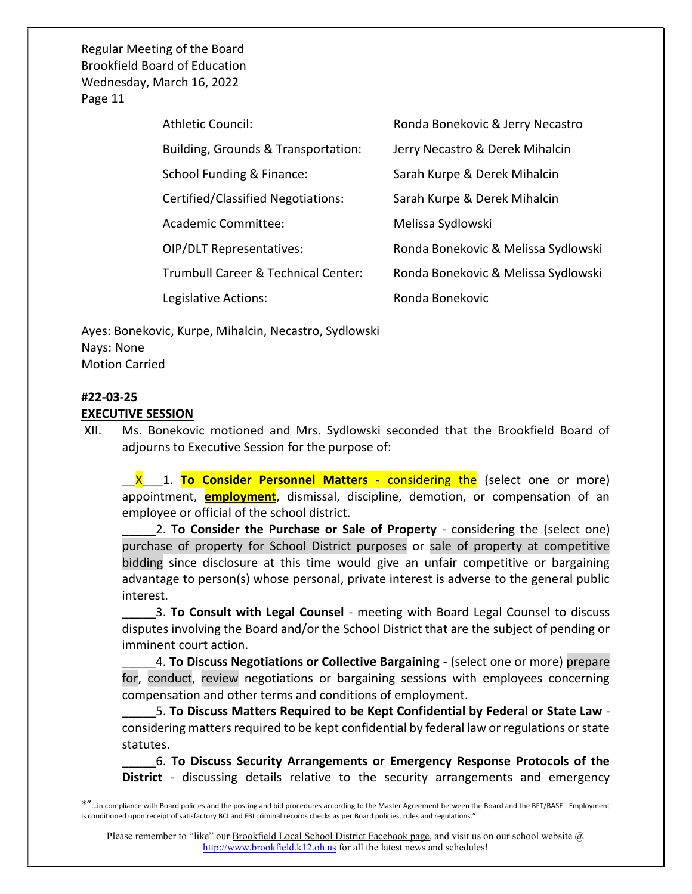| <b>Athletic Council:</b>                       | Ronda Bonekovic & Jerry Necastro    |
|------------------------------------------------|-------------------------------------|
| Building, Grounds & Transportation:            | Jerry Necastro & Derek Mihalcin     |
| School Funding & Finance:                      | Sarah Kurpe & Derek Mihalcin        |
| Certified/Classified Negotiations:             | Sarah Kurpe & Derek Mihalcin        |
| Academic Committee:                            | Melissa Sydlowski                   |
| <b>OIP/DLT Representatives:</b>                | Ronda Bonekovic & Melissa Sydlowski |
| <b>Trumbull Career &amp; Technical Center:</b> | Ronda Bonekovic & Melissa Sydlowski |
| Legislative Actions:                           | Ronda Bonekovic                     |

Ayes: Bonekovic, Kurpe, Mihalcin, Necastro, Sydlowski Nays: None Motion Carried

# #22-03-25

#### EXECUTIVE SESSION

XII. Ms. Bonekovic motioned and Mrs. Sydlowski seconded that the Brookfield Board of adjourns to Executive Session for the purpose of:

X 1. To Consider Personnel Matters - considering the (select one or more) appointment, **employment**, dismissal, discipline, demotion, or compensation of an employee or official of the school district.

2. To Consider the Purchase or Sale of Property - considering the (select one) purchase of property for School District purposes or sale of property at competitive bidding since disclosure at this time would give an unfair competitive or bargaining advantage to person(s) whose personal, private interest is adverse to the general public interest.

3. To Consult with Legal Counsel - meeting with Board Legal Counsel to discuss disputes involving the Board and/or the School District that are the subject of pending or imminent court action.

4. To Discuss Negotiations or Collective Bargaining - (select one or more) prepare for, conduct, review negotiations or bargaining sessions with employees concerning compensation and other terms and conditions of employment.

\_\_\_\_\_5. To Discuss Matters Required to be Kept Confidential by Federal or State Law considering matters required to be kept confidential by federal law or regulations or state statutes.

\_\_\_\_\_6. To Discuss Security Arrangements or Emergency Response Protocols of the District - discussing details relative to the security arrangements and emergency

<sup>\*&</sup>quot;…in compliance with Board policies and the posting and bid procedures according to the Master Agreement between the Board and the BFT/BASE. Employment is conditioned upon receipt of satisfactory BCI and FBI criminal records checks as per Board policies, rules and regulations."